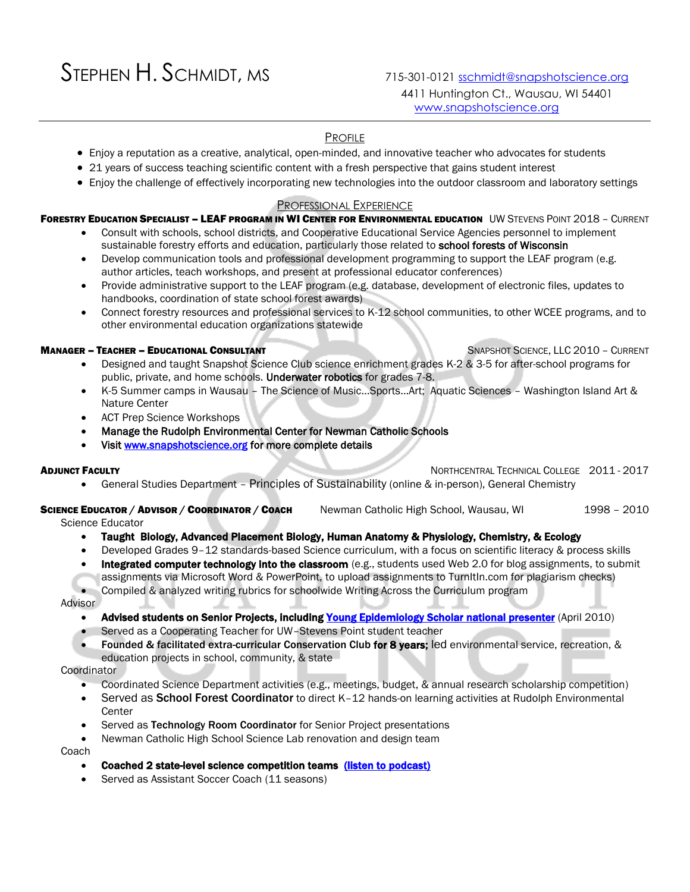# STEPHEN H. SCHMIDT, MS715-301-0121 [sschmidt@snapshotscience.org](mailto:sschmidt@snapshotscience.org)

# PROFILE

- Enjoy a reputation as a creative, analytical, open-minded, and innovative teacher who advocates for students
- 21 years of success teaching scientific content with a fresh perspective that gains student interest
- Enjoy the challenge of effectively incorporating new technologies into the outdoor classroom and laboratory settings

## PROFESSIONAL EXPERIENCE

## FORESTRY EDUCATION SPECIALIST - LEAF PROGRAM IN WI CENTER FOR ENVIRONMENTAL EDUCATION UW STEVENS POINT 2018 - CURRENT

- Consult with schools, school districts, and Cooperative Educational Service Agencies personnel to implement sustainable forestry efforts and education, particularly those related to school forests of Wisconsin
- Develop communication tools and professional development programming to support the LEAF program (e.g. author articles, teach workshops, and present at professional educator conferences)
- Provide administrative support to the LEAF program (e.g. database, development of electronic files, updates to handbooks, coordination of state school forest awards)
- Connect forestry resources and professional services to K-12 school communities, to other WCEE programs, and to other environmental education organizations statewide

## **MANAGER – TEACHER – EDUCATIONAL CONSULTANT STRAPS AND SOLENCE, LLC 2010 – CURRENT**

- Designed and taught Snapshot Science Club science enrichment grades K-2 & 3-5 for after-school programs for public, private, and home schools. Underwater robotics for grades 7-8.
- K-5 Summer camps in Wausau The Science of Music…Sports…Art; Aquatic Sciences Washington Island Art & Nature Center
- ACT Prep Science Workshops
- Manage the Rudolph Environmental Center for Newman Catholic Schools
- Visit [www.snapshotscience.org](http://www.snapshotscience.org/) for more complete details

#### **ADJUNCT FACULTY NORTHCENTRAL TECHNICAL COLLEGE 2011 - 2017**

• General Studies Department – Principles of Sustainability (online & in-person), General Chemistry

# SCIENCE EDUCATOR / ADVISOR / COORDINATOR / COACH Newman Catholic High School, Wausau, WI 1998 - 2010

Science Educator

- Taught Biology, Advanced Placement Biology, Human Anatomy & Physiology, Chemistry, & Ecology
- Developed Grades 9–12 standards-based Science curriculum, with a focus on scientific literacy & process skills
- Integrated computer technology into the classroom (e.g., students used Web 2.0 for blog assignments, to submit assignments via Microsoft Word & PowerPoint, to upload assignments to TurnItIn.com for plagiarism checks)

• Compiled & analyzed writing rubrics for schoolwide Writing Across the Curriculum program

Advisor

## Advised students on Senior Projects, includin[g Young Epidemiology Scholar national presenter](https://0-search.proquest.com.ilsapp.wvls.org/news/docview/372415486/49D53DDE89D9490BPQ/3?accountid=8836) (April 2010)

- Served as a Cooperating Teacher for UW–Stevens Point student teacher
- Founded & facilitated extra-curricular Conservation Club for 8 years; led environmental service, recreation, & education projects in school, community, & state

## **Coordinator**

- Coordinated Science Department activities (e.g., meetings, budget, & annual research scholarship competition)
- Served as School Forest Coordinator to direct K–12 hands-on learning activities at Rudolph Environmental Center
- Served as Technology Room Coordinator for Senior Project presentations
- Newman Catholic High School Science Lab renovation and design team

Coach

- Coached 2 state-level science competition teams [\(listen to podcast\)](http://coseenow.net/podcast/2010/02/nosb/)
- Served as Assistant Soccer Coach (11 seasons)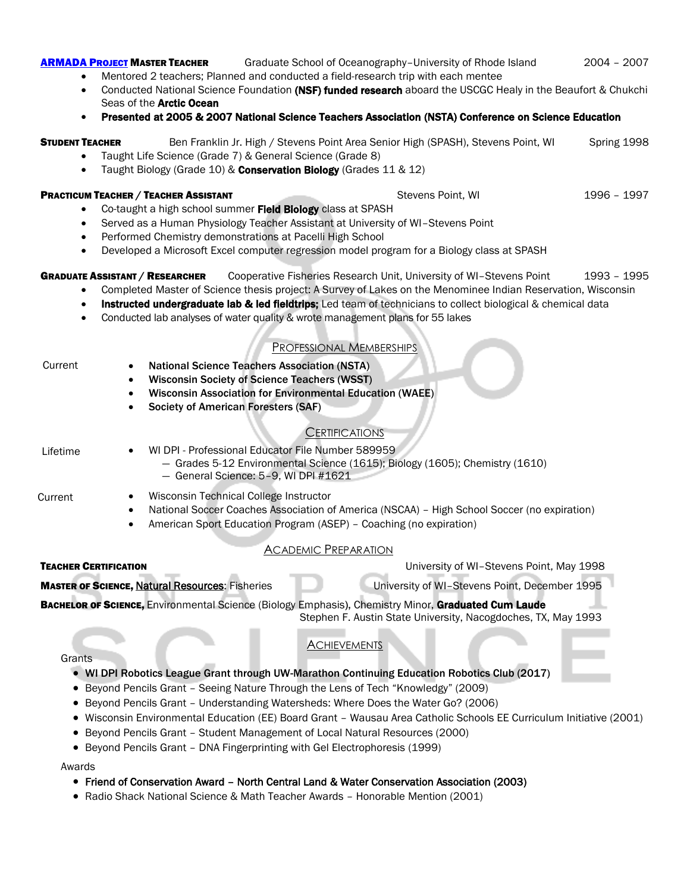# **[ARMADA](http://www.armadaproject.org/rsrch-exp/2004-2005/chukchi.htm) PROJECT MASTER TEACHER** Graduate School of Oceanography-University of Rhode Island 2004 - 2007

- Mentored 2 teachers; Planned and conducted a field-research trip with each mentee
- Conducted National Science Foundation (NSF) funded research aboard the USCGC Healy in the Beaufort & Chukchi Seas of the **Arctic Ocean**
- Presented at 2005 & 2007 National Science Teachers Association (NSTA) Conference on Science Education

# **STUDENT TEACHER** Ben Franklin Jr. High / Stevens Point Area Senior High (SPASH), Stevens Point, WI Spring 1998

- Taught Life Science (Grade 7) & General Science (Grade 8)
- Taught Biology (Grade 10) & Conservation Biology (Grades 11 & 12)

**PRACTICUM TEACHER / TEACHER ASSISTANT STEVENS POINTS AND STEVENS POINTS IN STEVENS POINTS AND STEVENS POINTS AND STEVENS OF A STEVENS POINTS AND STEVENS AND STEVENS AND STEVENS AND STEVENS AND STEVENS AND STEVENS AND STEV** 

- Co-taught a high school summer Field Biology class at SPASH
- Served as a Human Physiology Teacher Assistant at University of WI–Stevens Point
- Performed Chemistry demonstrations at Pacelli High School
- Developed a Microsoft Excel computer regression model program for a Biology class at SPASH

# GRADUATE ASSISTANT / RESEARCHER Cooperative Fisheries Research Unit, University of WI-Stevens Point 1993 - 1995

- Completed Master of Science thesis project: A Survey of Lakes on the Menominee Indian Reservation, Wisconsin
- Instructed undergraduate lab & led fieldtrips; Led team of technicians to collect biological & chemical data
- Conducted lab analyses of water quality & wrote management plans for 55 lakes

# PROFESSIONAL MEMBERSHIPS

| <b>Wisconsin Society of Science Teachers (WSST)</b><br><b>Wisconsin Association for Environmental Education (WAEE)</b><br><b>Society of American Foresters (SAF)</b>                                                                                                                        |
|---------------------------------------------------------------------------------------------------------------------------------------------------------------------------------------------------------------------------------------------------------------------------------------------|
| <b>CERTIFICATIONS</b>                                                                                                                                                                                                                                                                       |
| WI DPI - Professional Educator File Number 589959<br>- Grades 5-12 Environmental Science (1615); Biology (1605); Chemistry (1610)<br>- General Science: 5-9, WI DPI #1621                                                                                                                   |
| Wisconsin Technical College Instructor<br>National Soccer Coaches Association of America (NSCAA) - High School Soccer (no expiration)<br>American Sport Education Program (ASEP) - Coaching (no expiration)                                                                                 |
| <b>ACADEMIC PREPARATION</b>                                                                                                                                                                                                                                                                 |
| University of WI-Stevens Point, May 1998                                                                                                                                                                                                                                                    |
| University of WI-Stevens Point, December 1995                                                                                                                                                                                                                                               |
| BACHELOR OF SCIENCE, Environmental Science (Biology Emphasis), Chemistry Minor, Graduated Cum Laude<br>Stephen F. Austin State University, Nacogdoches, TX, May 1993                                                                                                                        |
| <b>ACHIEVEMENTS</b><br>WI DPI Robotics League Grant through UW-Marathon Continuing Education Robotics Club (2017)<br>Beyond Pencils Grant - Seeing Nature Through the Lens of Tech "Knowledgy" (2009)<br>• Beyond Pencils Grant - Understanding Watersheds: Where Does the Water Go? (2006) |
|                                                                                                                                                                                                                                                                                             |

- Wisconsin Environmental Education (EE) Board Grant Wausau Area Catholic Schools EE Curriculum Initiative (2001)
- Beyond Pencils Grant Student Management of Local Natural Resources (2000)
- Beyond Pencils Grant DNA Fingerprinting with Gel Electrophoresis (1999)

## Awards

# • Friend of Conservation Award – North Central Land & Water Conservation Association (2003)

• Radio Shack National Science & Math Teacher Awards – Honorable Mention (2001)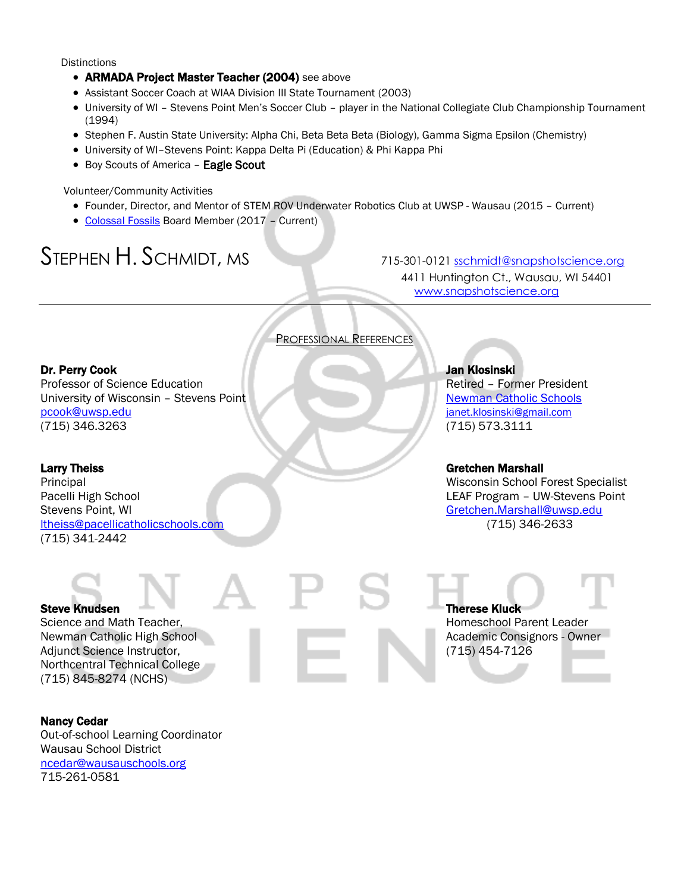**Distinctions** 

- ARMADA Project Master Teacher (2004) see above
- Assistant Soccer Coach at WIAA Division III State Tournament (2003)
- University of WI Stevens Point Men's Soccer Club player in the National Collegiate Club Championship Tournament (1994)
- Stephen F. Austin State University: Alpha Chi, Beta Beta Beta (Biology), Gamma Sigma Epsilon (Chemistry)
- University of WI–Stevens Point: Kappa Delta Pi (Education) & Phi Kappa Phi
- Boy Scouts of America Eagle Scout

Volunteer/Community Activities

- Founder, Director, and Mentor of STEM ROV Underwater Robotics Club at UWSP Wausau (2015 Current)
- [Colossal Fossils](http://www.colossalfossils.com/Content/Meet-the-Board-and-Staff.cfm) Board Member (2017 Current)

# STEPHEN H. SCHMIDT, MS715-301-0121 [sschmidt@snapshotscience.org](mailto:sschmidt@snapshotscience.org)

4411 Huntington Ct., Wausau, WI 54401 [www.snapshotscience.org](http://www.snapshotscience.org/)

# PROFESSIONAL REFERENCES

# Dr. Perry Cook Jan Klosinski

Professor of Science Education **Retired – Former President** University of Wisconsin – Stevens Point [Newman Catholic Schools](http://www.newmancatholicschools.com/) [pcook@uwsp.edu](mailto:pcook@uwsp.edu) [janet.klosinski@gmail.com](mailto:janet.klosinski@gmail.com) (715) 346.3263 (715) 573.3111

Pacelli High School **Department Controller Controller Controller Controller Controller Controller Controller Controller Controller Controller Controller Controller Controller Controller Controller Controller Controller Con** Stevens Point, WI Greeck Contract Contract Contract Contract Contract Contract Contract Contract Contract Contract Contract Contract Contract Contract Contract Contract Contract Contract Contract Contract Contract Contract [ltheiss@pacellicatholicschools.com](mailto:ltheiss@pacellicatholicschools.com) (715) 346-2633 (715) 341-2442

## Larry Theiss Gretchen Marshall

Principal Wisconsin School Forest Specialist

Adjunct Science Instructor, **Executive Contract Contract Contract Contract Contract Contract Contract Contract Contract Contract Contract Contract Contract Contract Contract Contract Contract Contract Contract Contract Con** Northcentral Technical College (715) 845-8274 (NCHS)

Steve Knudsen Therese Kluck Science and Math Teacher, The Contract of the Math Teacher, Homeschool Parent Leader Newman Catholic High School **Academic Consignors - Owner** Academic Consignors - Owner

## Nancy Cedar

Out-of-school Learning Coordinator Wausau School District [ncedar@wausauschools.org](mailto:ncedar@wausauschools.org) 715-261-0581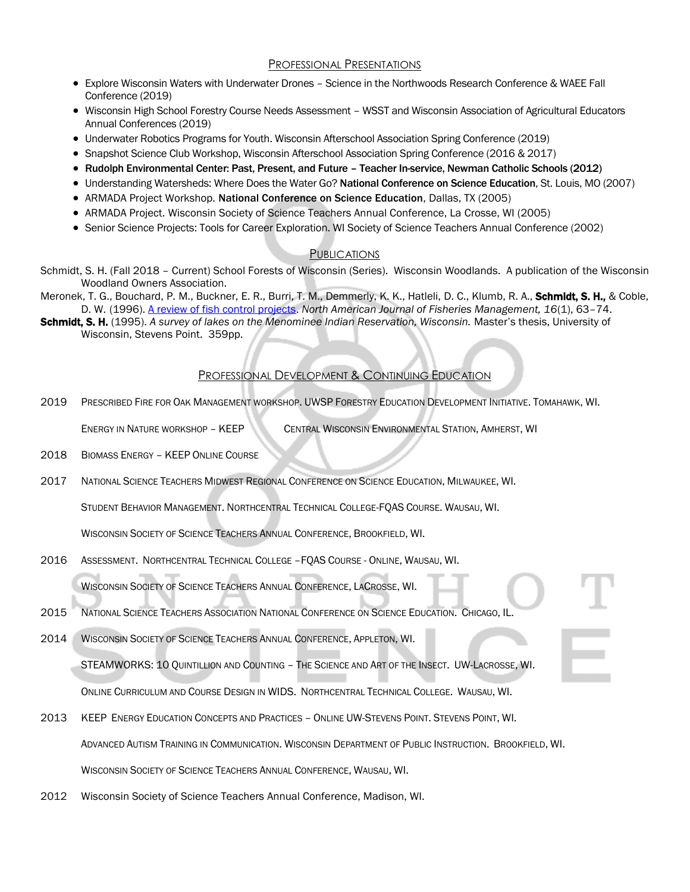# PROFESSIONAL PRESENTATIONS

- Explore Wisconsin Waters with Underwater Drones Science in the Northwoods Research Conference & WAEE Fall Conference (2019)
- Wisconsin High School Forestry Course Needs Assessment WSST and Wisconsin Association of Agricultural Educators Annual Conferences (2019)
- Underwater Robotics Programs for Youth. Wisconsin Afterschool Association Spring Conference (2019)
- Snapshot Science Club Workshop, Wisconsin Afterschool Association Spring Conference (2016 & 2017)
- Rudolph Environmental Center: Past, Present, and Future Teacher In-service, Newman Catholic Schools (2012)
- Understanding Watersheds: Where Does the Water Go? National Conference on Science Education, St. Louis, MO (2007)
- ARMADA Project Workshop. National Conference on Science Education, Dallas, TX (2005)
- ARMADA Project. Wisconsin Society of Science Teachers Annual Conference, La Crosse, WI (2005)
- Senior Science Projects: Tools for Career Exploration. WI Society of Science Teachers Annual Conference (2002)

## **PUBLICATIONS**

- Schmidt, S. H. (Fall 2018 Current) School Forests of Wisconsin (Series). Wisconsin Woodlands. A publication of the Wisconsin Woodland Owners Association.
- Meronek, T. G., Bouchard, P. M., Buckner, E. R., Burri, T. M., Demmerly, K. K., Hatleli, D. C., Klumb, R. A., Schmidt, S. H., & Coble, D. W. (1996). [A review of fish control projects.](http://afsjournals.org/doi/abs/10.1577/1548-8675%281996%29016%3C0063%3AAROFCP%3E2.3.CO%3B2?journalCode=fima) *North American Journal of Fisheries Management, 16*(1), 63–74.
- Schmidt, S. H. (1995). A survey of lakes on the Menominee Indian Reservation, Wisconsin. Master's thesis, University of Wisconsin, Stevens Point. 359pp.

# PROFESSIONAL DEVELOPMENT & CONTINUING EDUCATION

2019 PRESCRIBED FIRE FOR OAK MANAGEMENT WORKSHOP. UWSP FORESTRY EDUCATION DEVELOPMENT INITIATIVE. TOMAHAWK, WI.

ENERGY IN NATURE WORKSHOP – KEEP CENTRAL WISCONSIN ENVIRONMENTAL STATION, AMHERST, WI

- 2018 BIOMASS ENERGY KEEP ONLINE COURSE
- 2017 NATIONAL SCIENCE TEACHERS MIDWEST REGIONAL CONFERENCE ON SCIENCE EDUCATION, MILWAUKEE, WI.

STUDENT BEHAVIOR MANAGEMENT. NORTHCENTRAL TECHNICAL COLLEGE-FQAS COURSE. WAUSAU, WI.

WISCONSIN SOCIETY OF SCIENCE TEACHERS ANNUAL CONFERENCE, BROOKFIELD, WI.

2016 ASSESSMENT. NORTHCENTRAL TECHNICAL COLLEGE –FQAS COURSE - ONLINE, WAUSAU, WI.

WISCONSIN SOCIETY OF SCIENCE TEACHERS ANNUAL CONFERENCE, LACROSSE, WI.

- 2015 NATIONAL SCIENCE TEACHERS ASSOCIATION NATIONAL CONFERENCE ON SCIENCE EDUCATION. CHICAGO, IL.
- 2014 WISCONSIN SOCIETY OF SCIENCE TEACHERS ANNUAL CONFERENCE, APPLETON, WI.

STEAMWORKS: 10 QUINTILLION AND COUNTING – THE SCIENCE AND ART OF THE INSECT. UW-LACROSSE, WI.

ONLINE CURRICULUM AND COURSE DESIGN IN WIDS. NORTHCENTRAL TECHNICAL COLLEGE. WAUSAU, WI.

- 2013 KEEP ENERGY EDUCATION CONCEPTS AND PRACTICES ONLINE UW-STEVENS POINT. STEVENS POINT, WI. ADVANCED AUTISM TRAINING IN COMMUNICATION. WISCONSIN DEPARTMENT OF PUBLIC INSTRUCTION. BROOKFIELD, WI. WISCONSIN SOCIETY OF SCIENCE TEACHERS ANNUAL CONFERENCE, WAUSAU, WI.
- 2012 Wisconsin Society of Science Teachers Annual Conference, Madison, WI.